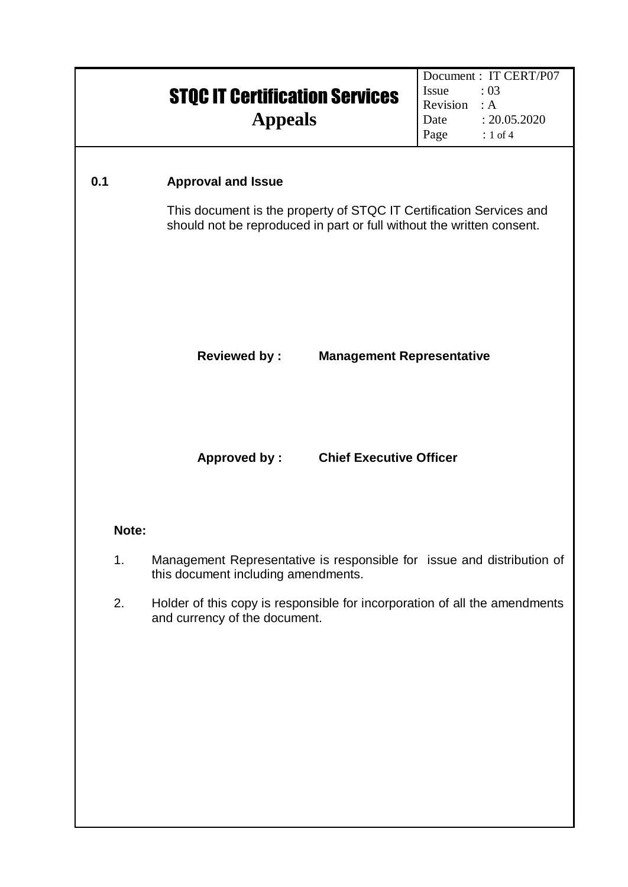# STQC IT Certification Services **Appeals**

### **0.1 Approval and Issue**

This document is the property of STQC IT Certification Services and should not be reproduced in part or full without the written consent.

### **Reviewed by : Management Representative**

**Approved by : Chief Executive Officer** 

#### **Note:**

- 1. Management Representative is responsible for issue and distribution of this document including amendments.
- 2. Holder of this copy is responsible for incorporation of all the amendments and currency of the document.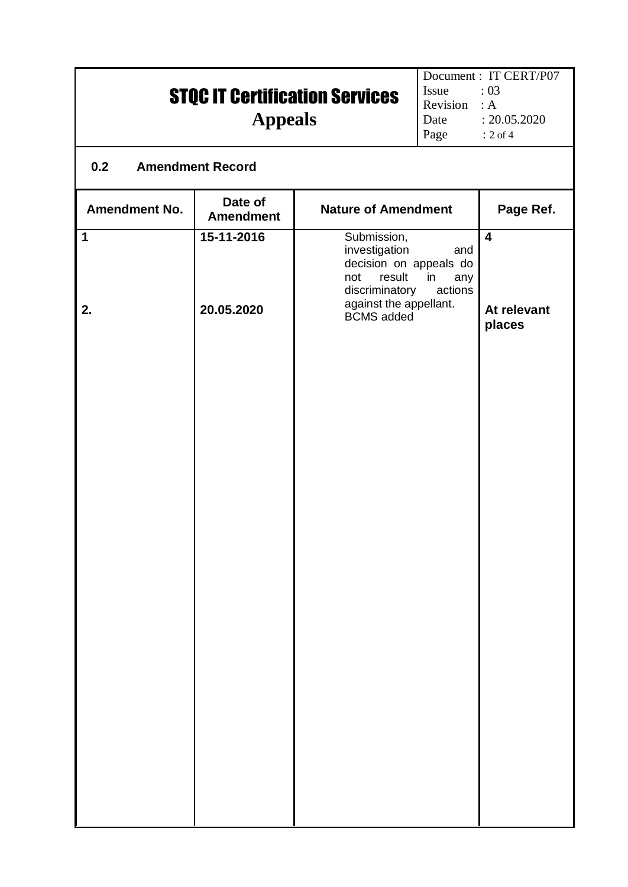| <b>STQC IT Certification Services</b><br><b>Appeals</b> |                             |                                                                                                                                                                         | Issue<br>Revision<br>Date<br>Page | Document: IT CERT/P07<br>:03<br>: A<br>: 20.05.2020<br>$: 2$ of 4 |
|---------------------------------------------------------|-----------------------------|-------------------------------------------------------------------------------------------------------------------------------------------------------------------------|-----------------------------------|-------------------------------------------------------------------|
| <b>Amendment Record</b><br>0.2                          |                             |                                                                                                                                                                         |                                   |                                                                   |
| <b>Amendment No.</b>                                    | Date of<br><b>Amendment</b> | <b>Nature of Amendment</b>                                                                                                                                              |                                   | Page Ref.                                                         |
| $\mathbf 1$<br>2.                                       | 15-11-2016<br>20.05.2020    | Submission,<br>investigation<br>and<br>decision on appeals do<br>result<br>not<br>in<br>any<br>discriminatory<br>actions<br>against the appellant.<br><b>BCMS</b> added |                                   | $\overline{\mathbf{4}}$<br>At relevant<br>places                  |
|                                                         |                             |                                                                                                                                                                         |                                   |                                                                   |
|                                                         |                             |                                                                                                                                                                         |                                   |                                                                   |
|                                                         |                             |                                                                                                                                                                         |                                   |                                                                   |
|                                                         |                             |                                                                                                                                                                         |                                   |                                                                   |
|                                                         |                             |                                                                                                                                                                         |                                   |                                                                   |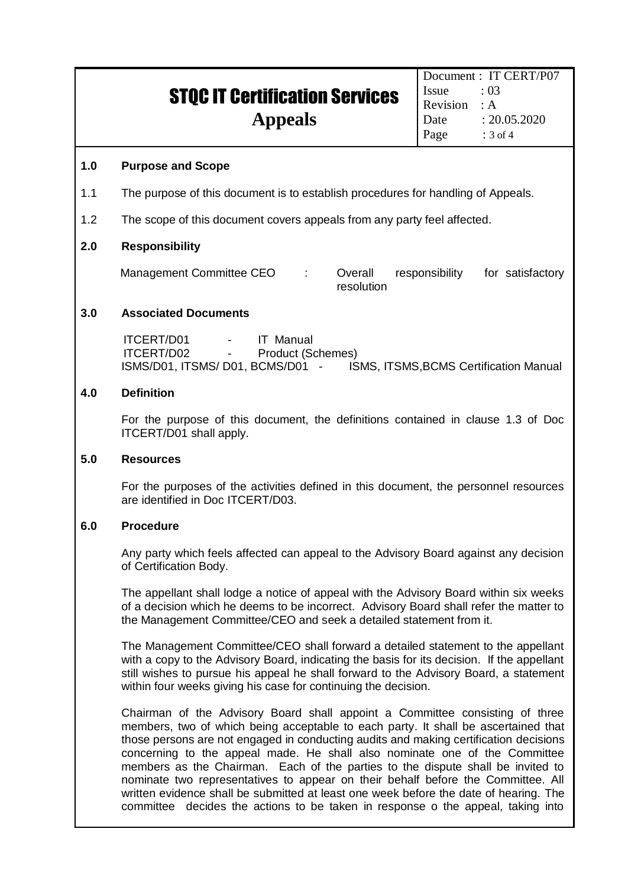## STQC IT Certification Services **Appeals**

#### **1.0 Purpose and Scope**

- 1.1 The purpose of this document is to establish procedures for handling of Appeals.
- 1.2 The scope of this document covers appeals from any party feel affected.

#### **2.0 Responsibility**

 Management Committee CEO : Overall responsibility for satisfactory resolution

#### **3.0 Associated Documents**

ITCERT/D01 - IT Manual ITCERT/D02 - Product (Schemes) ISMS/D01, ITSMS/ D01, BCMS/D01 - ISMS, ITSMS,BCMS Certification Manual

#### **4.0 Definition**

For the purpose of this document, the definitions contained in clause 1.3 of Doc ITCERT/D01 shall apply.

#### **5.0 Resources**

For the purposes of the activities defined in this document, the personnel resources are identified in Doc ITCERT/D03.

#### **6.0 Procedure**

Any party which feels affected can appeal to the Advisory Board against any decision of Certification Body.

The appellant shall lodge a notice of appeal with the Advisory Board within six weeks of a decision which he deems to be incorrect. Advisory Board shall refer the matter to the Management Committee/CEO and seek a detailed statement from it.

The Management Committee/CEO shall forward a detailed statement to the appellant with a copy to the Advisory Board, indicating the basis for its decision. If the appellant still wishes to pursue his appeal he shall forward to the Advisory Board, a statement within four weeks giving his case for continuing the decision.

Chairman of the Advisory Board shall appoint a Committee consisting of three members, two of which being acceptable to each party. It shall be ascertained that those persons are not engaged in conducting audits and making certification decisions concerning to the appeal made. He shall also nominate one of the Committee members as the Chairman. Each of the parties to the dispute shall be invited to nominate two representatives to appear on their behalf before the Committee. All written evidence shall be submitted at least one week before the date of hearing. The committee decides the actions to be taken in response o the appeal, taking into